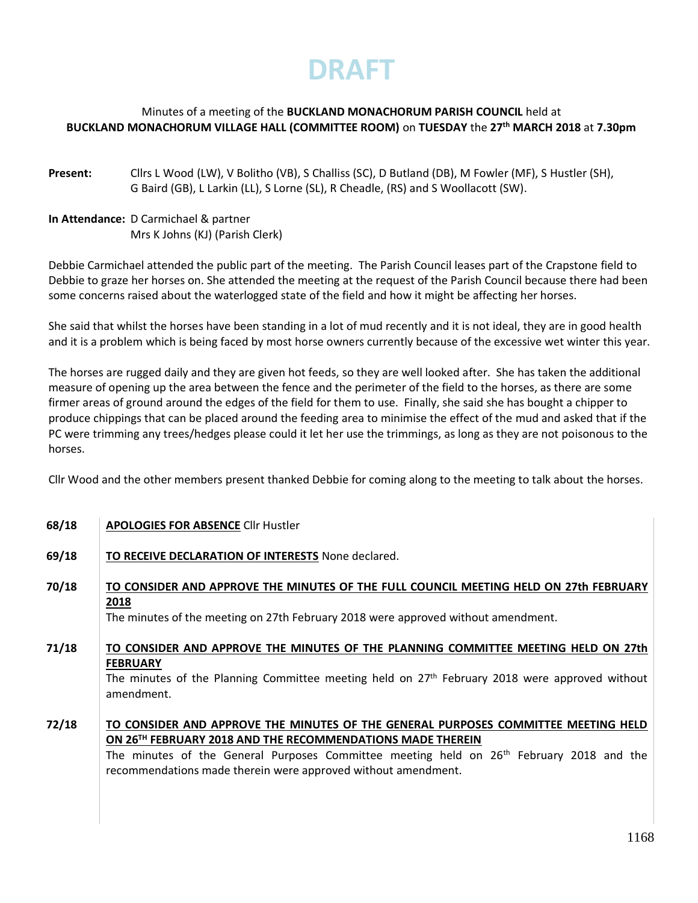## Minutes of a meeting of the **BUCKLAND MONACHORUM PARISH COUNCIL** held at **BUCKLAND MONACHORUM VILLAGE HALL (COMMITTEE ROOM)** on **TUESDAY** the **27 th MARCH 2018** at **7.30pm**

- **Present:** Cllrs L Wood (LW), V Bolitho (VB), S Challiss (SC), D Butland (DB), M Fowler (MF), S Hustler (SH), G Baird (GB), L Larkin (LL), S Lorne (SL), R Cheadle, (RS) and S Woollacott (SW).
- **In Attendance:** D Carmichael & partner Mrs K Johns (KJ) (Parish Clerk)

Debbie Carmichael attended the public part of the meeting. The Parish Council leases part of the Crapstone field to Debbie to graze her horses on. She attended the meeting at the request of the Parish Council because there had been some concerns raised about the waterlogged state of the field and how it might be affecting her horses.

She said that whilst the horses have been standing in a lot of mud recently and it is not ideal, they are in good health and it is a problem which is being faced by most horse owners currently because of the excessive wet winter this year.

The horses are rugged daily and they are given hot feeds, so they are well looked after. She has taken the additional measure of opening up the area between the fence and the perimeter of the field to the horses, as there are some firmer areas of ground around the edges of the field for them to use. Finally, she said she has bought a chipper to produce chippings that can be placed around the feeding area to minimise the effect of the mud and asked that if the PC were trimming any trees/hedges please could it let her use the trimmings, as long as they are not poisonous to the horses.

Cllr Wood and the other members present thanked Debbie for coming along to the meeting to talk about the horses.

| 68/18 | <b>APOLOGIES FOR ABSENCE CIIr Hustler</b>                                                                                                                                                                                                                                                                                             |
|-------|---------------------------------------------------------------------------------------------------------------------------------------------------------------------------------------------------------------------------------------------------------------------------------------------------------------------------------------|
| 69/18 | TO RECEIVE DECLARATION OF INTERESTS None declared.                                                                                                                                                                                                                                                                                    |
| 70/18 | TO CONSIDER AND APPROVE THE MINUTES OF THE FULL COUNCIL MEETING HELD ON 27th FEBRUARY<br>2018<br>The minutes of the meeting on 27th February 2018 were approved without amendment.                                                                                                                                                    |
| 71/18 | TO CONSIDER AND APPROVE THE MINUTES OF THE PLANNING COMMITTEE MEETING HELD ON 27th<br><b>FEBRUARY</b><br>The minutes of the Planning Committee meeting held on 27 <sup>th</sup> February 2018 were approved without<br>amendment.                                                                                                     |
| 72/18 | TO CONSIDER AND APPROVE THE MINUTES OF THE GENERAL PURPOSES COMMITTEE MEETING HELD<br>ON 26 <sup>TH</sup> FEBRUARY 2018 AND THE RECOMMENDATIONS MADE THEREIN<br>The minutes of the General Purposes Committee meeting held on 26 <sup>th</sup> February 2018 and the<br>recommendations made therein were approved without amendment. |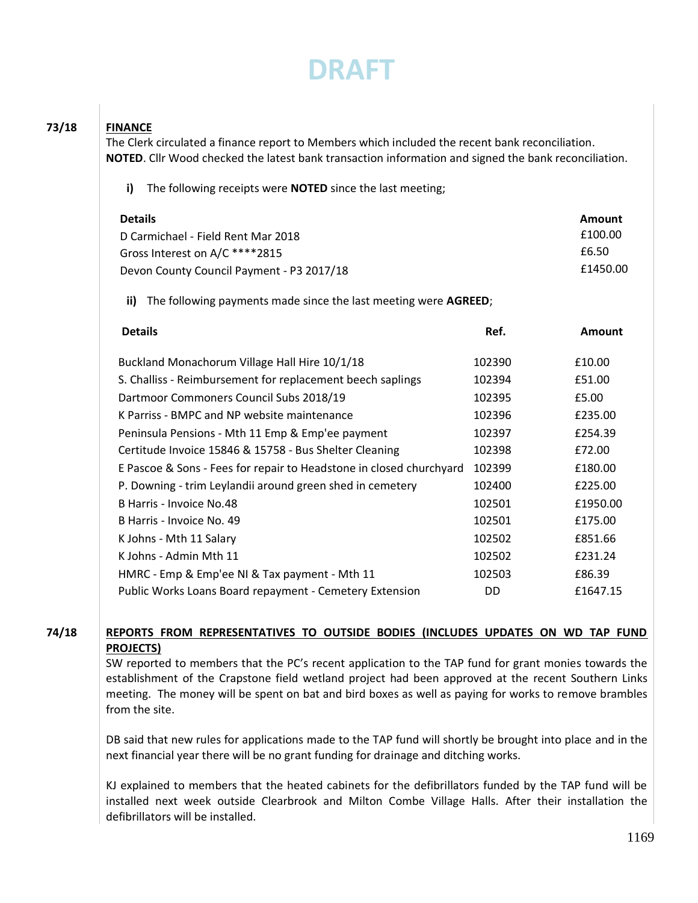**73/18 FINANCE**

| The following receipts were <b>NOTED</b> since the last meeting;<br>i)     |           |          |
|----------------------------------------------------------------------------|-----------|----------|
| <b>Details</b>                                                             |           | Amount   |
| D Carmichael - Field Rent Mar 2018                                         |           | £100.00  |
| Gross Interest on A/C *****2815                                            |           | £6.50    |
| Devon County Council Payment - P3 2017/18                                  | £1450.00  |          |
| The following payments made since the last meeting were AGREED;<br>ii)     |           |          |
| <b>Details</b>                                                             | Ref.      | Amount   |
| Buckland Monachorum Village Hall Hire 10/1/18                              | 102390    | £10.00   |
| S. Challiss - Reimbursement for replacement beech saplings                 | 102394    | £51.00   |
| Dartmoor Commoners Council Subs 2018/19                                    | 102395    | £5.00    |
| K Parriss - BMPC and NP website maintenance                                | 102396    | £235.00  |
| Peninsula Pensions - Mth 11 Emp & Emp'ee payment                           | 102397    | £254.39  |
| Certitude Invoice 15846 & 15758 - Bus Shelter Cleaning                     | 102398    | £72.00   |
| E Pascoe & Sons - Fees for repair to Headstone in closed churchyard 102399 |           | £180.00  |
| P. Downing - trim Leylandii around green shed in cemetery                  | 102400    | £225.00  |
| B Harris - Invoice No.48                                                   | 102501    | £1950.00 |
| B Harris - Invoice No. 49                                                  | 102501    | £175.00  |
| K Johns - Mth 11 Salary                                                    | 102502    | £851.66  |
| K Johns - Admin Mth 11                                                     | 102502    | £231.24  |
| HMRC - Emp & Emp'ee NI & Tax payment - Mth 11                              | 102503    | £86.39   |
| Public Works Loans Board repayment - Cemetery Extension                    | <b>DD</b> | £1647.15 |

## **74/18 REPORTS FROM REPRESENTATIVES TO OUTSIDE BODIES (INCLUDES UPDATES ON WD TAP FUND PROJECTS)**

SW reported to members that the PC's recent application to the TAP fund for grant monies towards the establishment of the Crapstone field wetland project had been approved at the recent Southern Links meeting. The money will be spent on bat and bird boxes as well as paying for works to remove brambles from the site.

DB said that new rules for applications made to the TAP fund will shortly be brought into place and in the next financial year there will be no grant funding for drainage and ditching works.

KJ explained to members that the heated cabinets for the defibrillators funded by the TAP fund will be installed next week outside Clearbrook and Milton Combe Village Halls. After their installation the defibrillators will be installed.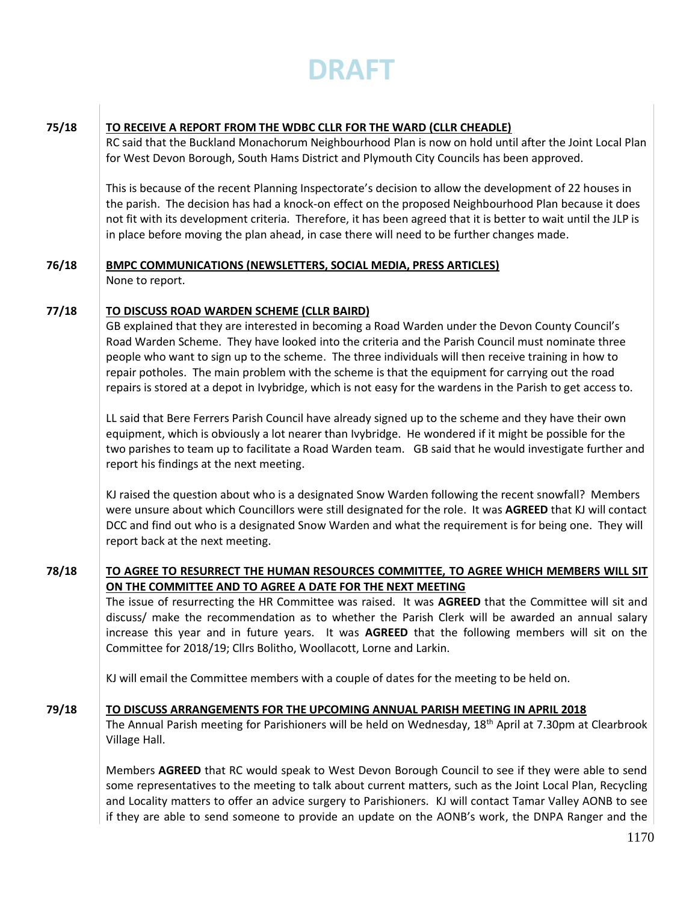### **75/18 TO RECEIVE A REPORT FROM THE WDBC CLLR FOR THE WARD (CLLR CHEADLE)**

RC said that the Buckland Monachorum Neighbourhood Plan is now on hold until after the Joint Local Plan for West Devon Borough, South Hams District and Plymouth City Councils has been approved.

This is because of the recent Planning Inspectorate's decision to allow the development of 22 houses in the parish. The decision has had a knock-on effect on the proposed Neighbourhood Plan because it does not fit with its development criteria. Therefore, it has been agreed that it is better to wait until the JLP is in place before moving the plan ahead, in case there will need to be further changes made.

### **76/18 BMPC COMMUNICATIONS (NEWSLETTERS, SOCIAL MEDIA, PRESS ARTICLES)** None to report.

### **77/18 TO DISCUSS ROAD WARDEN SCHEME (CLLR BAIRD)**

GB explained that they are interested in becoming a Road Warden under the Devon County Council's Road Warden Scheme. They have looked into the criteria and the Parish Council must nominate three people who want to sign up to the scheme. The three individuals will then receive training in how to repair potholes. The main problem with the scheme is that the equipment for carrying out the road repairs is stored at a depot in Ivybridge, which is not easy for the wardens in the Parish to get access to.

LL said that Bere Ferrers Parish Council have already signed up to the scheme and they have their own equipment, which is obviously a lot nearer than Ivybridge. He wondered if it might be possible for the two parishes to team up to facilitate a Road Warden team. GB said that he would investigate further and report his findings at the next meeting.

KJ raised the question about who is a designated Snow Warden following the recent snowfall? Members were unsure about which Councillors were still designated for the role. It was **AGREED** that KJ will contact DCC and find out who is a designated Snow Warden and what the requirement is for being one. They will report back at the next meeting.

**78/18 TO AGREE TO RESURRECT THE HUMAN RESOURCES COMMITTEE, TO AGREE WHICH MEMBERS WILL SIT ON THE COMMITTEE AND TO AGREE A DATE FOR THE NEXT MEETING**

The issue of resurrecting the HR Committee was raised. It was **AGREED** that the Committee will sit and discuss/ make the recommendation as to whether the Parish Clerk will be awarded an annual salary increase this year and in future years. It was **AGREED** that the following members will sit on the Committee for 2018/19; Cllrs Bolitho, Woollacott, Lorne and Larkin.

KJ will email the Committee members with a couple of dates for the meeting to be held on.

### **79/18 TO DISCUSS ARRANGEMENTS FOR THE UPCOMING ANNUAL PARISH MEETING IN APRIL 2018**

The Annual Parish meeting for Parishioners will be held on Wednesday, 18th April at 7.30pm at Clearbrook Village Hall.

Members **AGREED** that RC would speak to West Devon Borough Council to see if they were able to send some representatives to the meeting to talk about current matters, such as the Joint Local Plan, Recycling and Locality matters to offer an advice surgery to Parishioners. KJ will contact Tamar Valley AONB to see if they are able to send someone to provide an update on the AONB's work, the DNPA Ranger and the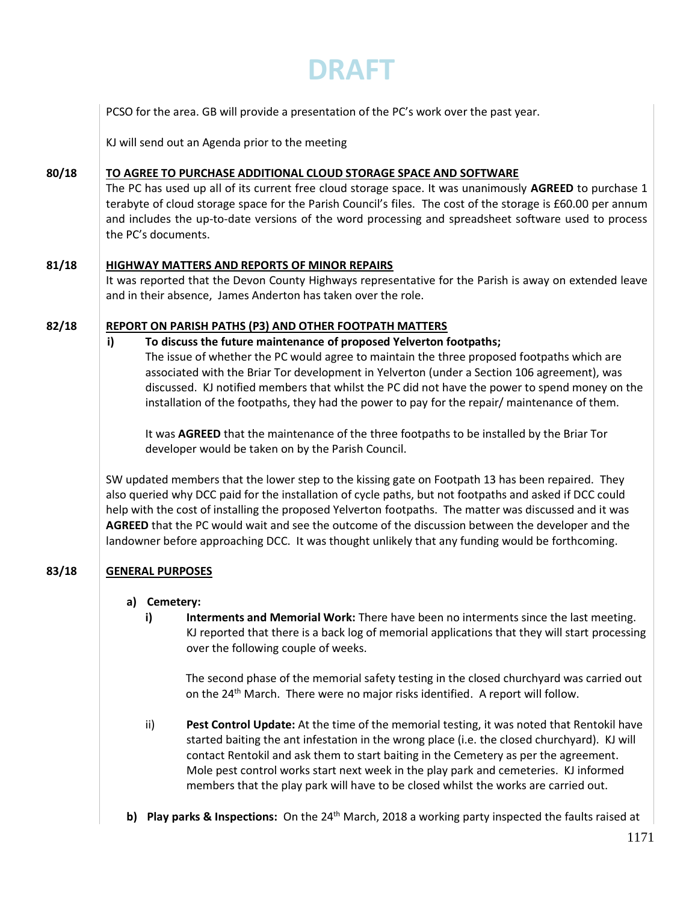|       | DRAFT                                                                                                                                                                                                                                                                                                                                                                                                                                                                                                                                                                                                                                                                                                                                                                                                                                                                                                                                                                                                                                                                                                                                                                                                                    |  |  |  |  |
|-------|--------------------------------------------------------------------------------------------------------------------------------------------------------------------------------------------------------------------------------------------------------------------------------------------------------------------------------------------------------------------------------------------------------------------------------------------------------------------------------------------------------------------------------------------------------------------------------------------------------------------------------------------------------------------------------------------------------------------------------------------------------------------------------------------------------------------------------------------------------------------------------------------------------------------------------------------------------------------------------------------------------------------------------------------------------------------------------------------------------------------------------------------------------------------------------------------------------------------------|--|--|--|--|
|       | PCSO for the area. GB will provide a presentation of the PC's work over the past year.                                                                                                                                                                                                                                                                                                                                                                                                                                                                                                                                                                                                                                                                                                                                                                                                                                                                                                                                                                                                                                                                                                                                   |  |  |  |  |
|       | KJ will send out an Agenda prior to the meeting                                                                                                                                                                                                                                                                                                                                                                                                                                                                                                                                                                                                                                                                                                                                                                                                                                                                                                                                                                                                                                                                                                                                                                          |  |  |  |  |
| 80/18 | TO AGREE TO PURCHASE ADDITIONAL CLOUD STORAGE SPACE AND SOFTWARE<br>The PC has used up all of its current free cloud storage space. It was unanimously AGREED to purchase 1<br>terabyte of cloud storage space for the Parish Council's files. The cost of the storage is £60.00 per annum<br>and includes the up-to-date versions of the word processing and spreadsheet software used to process<br>the PC's documents.                                                                                                                                                                                                                                                                                                                                                                                                                                                                                                                                                                                                                                                                                                                                                                                                |  |  |  |  |
| 81/18 | <b>HIGHWAY MATTERS AND REPORTS OF MINOR REPAIRS</b><br>It was reported that the Devon County Highways representative for the Parish is away on extended leave<br>and in their absence, James Anderton has taken over the role.                                                                                                                                                                                                                                                                                                                                                                                                                                                                                                                                                                                                                                                                                                                                                                                                                                                                                                                                                                                           |  |  |  |  |
| 82/18 | REPORT ON PARISH PATHS (P3) AND OTHER FOOTPATH MATTERS<br>i)<br>To discuss the future maintenance of proposed Yelverton footpaths;<br>The issue of whether the PC would agree to maintain the three proposed footpaths which are<br>associated with the Briar Tor development in Yelverton (under a Section 106 agreement), was<br>discussed. KJ notified members that whilst the PC did not have the power to spend money on the<br>installation of the footpaths, they had the power to pay for the repair/maintenance of them.<br>It was AGREED that the maintenance of the three footpaths to be installed by the Briar Tor<br>developer would be taken on by the Parish Council.<br>SW updated members that the lower step to the kissing gate on Footpath 13 has been repaired. They<br>also queried why DCC paid for the installation of cycle paths, but not footpaths and asked if DCC could<br>help with the cost of installing the proposed Yelverton footpaths. The matter was discussed and it was<br>AGREED that the PC would wait and see the outcome of the discussion between the developer and the<br>landowner before approaching DCC. It was thought unlikely that any funding would be forthcoming. |  |  |  |  |
| 83/18 | <b>GENERAL PURPOSES</b><br>Cemetery:<br>a)<br>Interments and Memorial Work: There have been no interments since the last meeting.<br>i)<br>KJ reported that there is a back log of memorial applications that they will start processing<br>over the following couple of weeks.<br>The second phase of the memorial safety testing in the closed churchyard was carried out<br>on the 24 <sup>th</sup> March. There were no major risks identified. A report will follow.                                                                                                                                                                                                                                                                                                                                                                                                                                                                                                                                                                                                                                                                                                                                                |  |  |  |  |
|       | ii)<br>Pest Control Update: At the time of the memorial testing, it was noted that Rentokil have<br>started baiting the ant infestation in the wrong place (i.e. the closed churchyard). KJ will<br>contact Rentokil and ask them to start baiting in the Cemetery as per the agreement.<br>Mole pest control works start next week in the play park and cemeteries. KJ informed<br>members that the play park will have to be closed whilst the works are carried out.<br>Play parks & Inspections: On the 24 <sup>th</sup> March, 2018 a working party inspected the faults raised at<br>b)                                                                                                                                                                                                                                                                                                                                                                                                                                                                                                                                                                                                                            |  |  |  |  |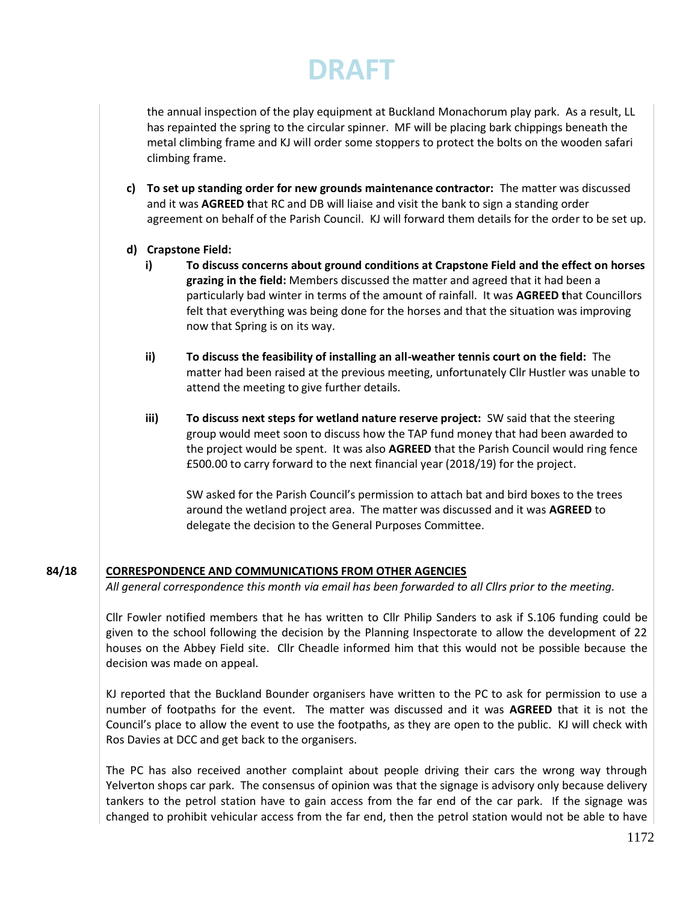the annual inspection of the play equipment at Buckland Monachorum play park. As a result, LL has repainted the spring to the circular spinner. MF will be placing bark chippings beneath the metal climbing frame and KJ will order some stoppers to protect the bolts on the wooden safari climbing frame.

- **c) To set up standing order for new grounds maintenance contractor:** The matter was discussed and it was **AGREED t**hat RC and DB will liaise and visit the bank to sign a standing order agreement on behalf of the Parish Council. KJ will forward them details for the order to be set up.
- **d) Crapstone Field:**
	- **i) To discuss concerns about ground conditions at Crapstone Field and the effect on horses grazing in the field:** Members discussed the matter and agreed that it had been a particularly bad winter in terms of the amount of rainfall. It was **AGREED t**hat Councillors felt that everything was being done for the horses and that the situation was improving now that Spring is on its way.
	- **ii) To discuss the feasibility of installing an all-weather tennis court on the field:** The matter had been raised at the previous meeting, unfortunately Cllr Hustler was unable to attend the meeting to give further details.
	- **iii) To discuss next steps for wetland nature reserve project:** SW said that the steering group would meet soon to discuss how the TAP fund money that had been awarded to the project would be spent. It was also **AGREED** that the Parish Council would ring fence £500.00 to carry forward to the next financial year (2018/19) for the project.

SW asked for the Parish Council's permission to attach bat and bird boxes to the trees around the wetland project area. The matter was discussed and it was **AGREED** to delegate the decision to the General Purposes Committee.

### **84/18 CORRESPONDENCE AND COMMUNICATIONS FROM OTHER AGENCIES**

*All general correspondence this month via email has been forwarded to all Cllrs prior to the meeting.*

Cllr Fowler notified members that he has written to Cllr Philip Sanders to ask if S.106 funding could be given to the school following the decision by the Planning Inspectorate to allow the development of 22 houses on the Abbey Field site. Cllr Cheadle informed him that this would not be possible because the decision was made on appeal.

KJ reported that the Buckland Bounder organisers have written to the PC to ask for permission to use a number of footpaths for the event. The matter was discussed and it was **AGREED** that it is not the Council's place to allow the event to use the footpaths, as they are open to the public. KJ will check with Ros Davies at DCC and get back to the organisers.

The PC has also received another complaint about people driving their cars the wrong way through Yelverton shops car park. The consensus of opinion was that the signage is advisory only because delivery tankers to the petrol station have to gain access from the far end of the car park. If the signage was changed to prohibit vehicular access from the far end, then the petrol station would not be able to have